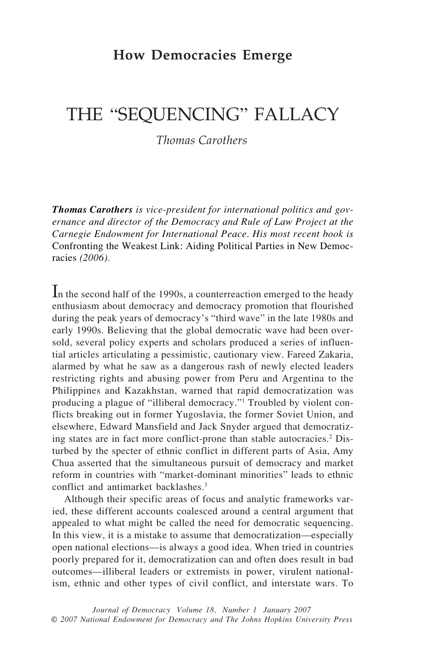## **How Democracies Emerge**

# THE "SEQUENCING" FALLACY

## *Thomas Carothers*

*Thomas Carothers is vice-president for international politics and governance and director of the Democracy and Rule of Law Project at the Carnegie Endowment for International Peace. His most recent book is* Confronting the Weakest Link: Aiding Political Parties in New Democracies *(2006).*

In the second half of the 1990s, a counterreaction emerged to the heady enthusiasm about democracy and democracy promotion that flourished during the peak years of democracy's "third wave" in the late 1980s and early 1990s. Believing that the global democratic wave had been oversold, several policy experts and scholars produced a series of influential articles articulating a pessimistic, cautionary view. Fareed Zakaria, alarmed by what he saw as a dangerous rash of newly elected leaders restricting rights and abusing power from Peru and Argentina to the Philippines and Kazakhstan, warned that rapid democratization was producing a plague of "illiberal democracy."1 Troubled by violent conflicts breaking out in former Yugoslavia, the former Soviet Union, and elsewhere, Edward Mansfield and Jack Snyder argued that democratizing states are in fact more conflict-prone than stable autocracies.2 Disturbed by the specter of ethnic conflict in different parts of Asia, Amy Chua asserted that the simultaneous pursuit of democracy and market reform in countries with "market-dominant minorities" leads to ethnic conflict and antimarket backlashes.3

Although their specific areas of focus and analytic frameworks varied, these different accounts coalesced around a central argument that appealed to what might be called the need for democratic sequencing. In this view, it is a mistake to assume that democratization—especially open national elections—is always a good idea. When tried in countries poorly prepared for it, democratization can and often does result in bad outcomes—illiberal leaders or extremists in power, virulent nationalism, ethnic and other types of civil conflict, and interstate wars. To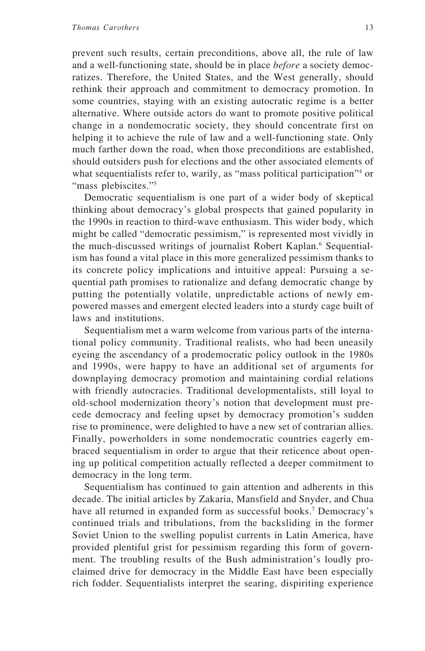prevent such results, certain preconditions, above all, the rule of law and a well-functioning state, should be in place *before* a society democratizes. Therefore, the United States, and the West generally, should rethink their approach and commitment to democracy promotion. In some countries, staying with an existing autocratic regime is a better alternative. Where outside actors do want to promote positive political change in a nondemocratic society, they should concentrate first on helping it to achieve the rule of law and a well-functioning state. Only much farther down the road, when those preconditions are established, should outsiders push for elections and the other associated elements of what sequentialists refer to, warily, as "mass political participation"<sup>4</sup> or "mass plebiscites."<sup>5</sup>

Democratic sequentialism is one part of a wider body of skeptical thinking about democracy's global prospects that gained popularity in the 1990s in reaction to third-wave enthusiasm. This wider body, which might be called "democratic pessimism," is represented most vividly in the much-discussed writings of journalist Robert Kaplan.<sup>6</sup> Sequentialism has found a vital place in this more generalized pessimism thanks to its concrete policy implications and intuitive appeal: Pursuing a sequential path promises to rationalize and defang democratic change by putting the potentially volatile, unpredictable actions of newly empowered masses and emergent elected leaders into a sturdy cage built of laws and institutions.

Sequentialism met a warm welcome from various parts of the international policy community. Traditional realists, who had been uneasily eyeing the ascendancy of a prodemocratic policy outlook in the 1980s and 1990s, were happy to have an additional set of arguments for downplaying democracy promotion and maintaining cordial relations with friendly autocracies. Traditional developmentalists, still loyal to old-school modernization theory's notion that development must precede democracy and feeling upset by democracy promotion's sudden rise to prominence, were delighted to have a new set of contrarian allies. Finally, powerholders in some nondemocratic countries eagerly embraced sequentialism in order to argue that their reticence about opening up political competition actually reflected a deeper commitment to democracy in the long term.

Sequentialism has continued to gain attention and adherents in this decade. The initial articles by Zakaria, Mansfield and Snyder, and Chua have all returned in expanded form as successful books.<sup>7</sup> Democracy's continued trials and tribulations, from the backsliding in the former Soviet Union to the swelling populist currents in Latin America, have provided plentiful grist for pessimism regarding this form of government. The troubling results of the Bush administration's loudly proclaimed drive for democracy in the Middle East have been especially rich fodder. Sequentialists interpret the searing, dispiriting experience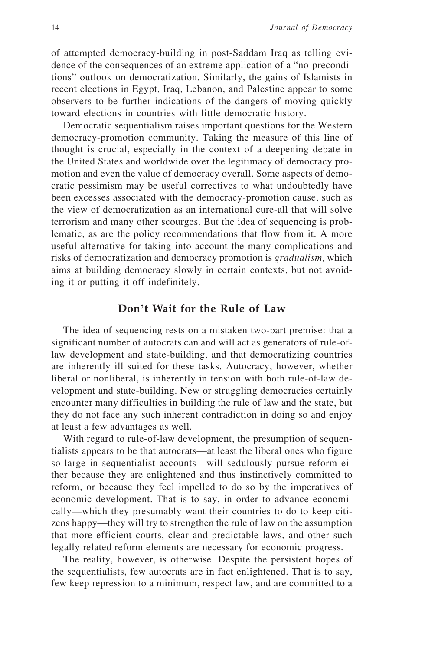of attempted democracy-building in post-Saddam Iraq as telling evidence of the consequences of an extreme application of a "no-preconditions" outlook on democratization. Similarly, the gains of Islamists in recent elections in Egypt, Iraq, Lebanon, and Palestine appear to some observers to be further indications of the dangers of moving quickly toward elections in countries with little democratic history.

Democratic sequentialism raises important questions for the Western democracy-promotion community. Taking the measure of this line of thought is crucial, especially in the context of a deepening debate in the United States and worldwide over the legitimacy of democracy promotion and even the value of democracy overall. Some aspects of democratic pessimism may be useful correctives to what undoubtedly have been excesses associated with the democracy-promotion cause, such as the view of democratization as an international cure-all that will solve terrorism and many other scourges. But the idea of sequencing is problematic, as are the policy recommendations that flow from it. A more useful alternative for taking into account the many complications and risks of democratization and democracy promotion is *gradualism,* which aims at building democracy slowly in certain contexts, but not avoiding it or putting it off indefinitely.

### **Don't Wait for the Rule of Law**

The idea of sequencing rests on a mistaken two-part premise: that a significant number of autocrats can and will act as generators of rule-oflaw development and state-building, and that democratizing countries are inherently ill suited for these tasks. Autocracy, however, whether liberal or nonliberal, is inherently in tension with both rule-of-law development and state-building. New or struggling democracies certainly encounter many difficulties in building the rule of law and the state, but they do not face any such inherent contradiction in doing so and enjoy at least a few advantages as well.

With regard to rule-of-law development, the presumption of sequentialists appears to be that autocrats—at least the liberal ones who figure so large in sequentialist accounts—will sedulously pursue reform either because they are enlightened and thus instinctively committed to reform, or because they feel impelled to do so by the imperatives of economic development. That is to say, in order to advance economically—which they presumably want their countries to do to keep citizens happy—they will try to strengthen the rule of law on the assumption that more efficient courts, clear and predictable laws, and other such legally related reform elements are necessary for economic progress.

The reality, however, is otherwise. Despite the persistent hopes of the sequentialists, few autocrats are in fact enlightened. That is to say, few keep repression to a minimum, respect law, and are committed to a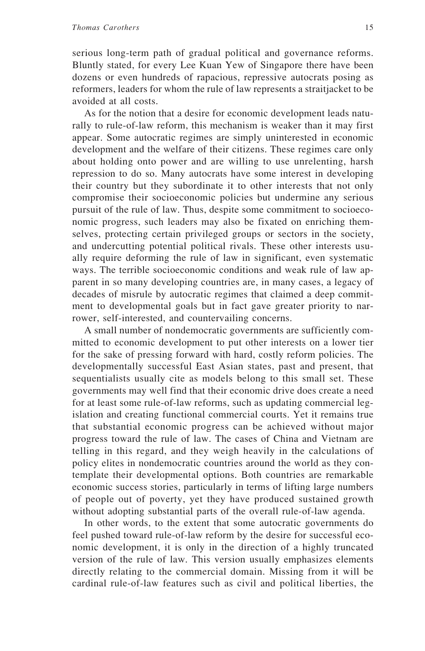serious long-term path of gradual political and governance reforms. Bluntly stated, for every Lee Kuan Yew of Singapore there have been dozens or even hundreds of rapacious, repressive autocrats posing as reformers, leaders for whom the rule of law represents a straitjacket to be avoided at all costs.

As for the notion that a desire for economic development leads naturally to rule-of-law reform, this mechanism is weaker than it may first appear. Some autocratic regimes are simply uninterested in economic development and the welfare of their citizens. These regimes care only about holding onto power and are willing to use unrelenting, harsh repression to do so. Many autocrats have some interest in developing their country but they subordinate it to other interests that not only compromise their socioeconomic policies but undermine any serious pursuit of the rule of law. Thus, despite some commitment to socioeconomic progress, such leaders may also be fixated on enriching themselves, protecting certain privileged groups or sectors in the society, and undercutting potential political rivals. These other interests usually require deforming the rule of law in significant, even systematic ways. The terrible socioeconomic conditions and weak rule of law apparent in so many developing countries are, in many cases, a legacy of decades of misrule by autocratic regimes that claimed a deep commitment to developmental goals but in fact gave greater priority to narrower, self-interested, and countervailing concerns.

A small number of nondemocratic governments are sufficiently committed to economic development to put other interests on a lower tier for the sake of pressing forward with hard, costly reform policies. The developmentally successful East Asian states, past and present, that sequentialists usually cite as models belong to this small set. These governments may well find that their economic drive does create a need for at least some rule-of-law reforms, such as updating commercial legislation and creating functional commercial courts. Yet it remains true that substantial economic progress can be achieved without major progress toward the rule of law. The cases of China and Vietnam are telling in this regard, and they weigh heavily in the calculations of policy elites in nondemocratic countries around the world as they contemplate their developmental options. Both countries are remarkable economic success stories, particularly in terms of lifting large numbers of people out of poverty, yet they have produced sustained growth without adopting substantial parts of the overall rule-of-law agenda.

In other words, to the extent that some autocratic governments do feel pushed toward rule-of-law reform by the desire for successful economic development, it is only in the direction of a highly truncated version of the rule of law. This version usually emphasizes elements directly relating to the commercial domain. Missing from it will be cardinal rule-of-law features such as civil and political liberties, the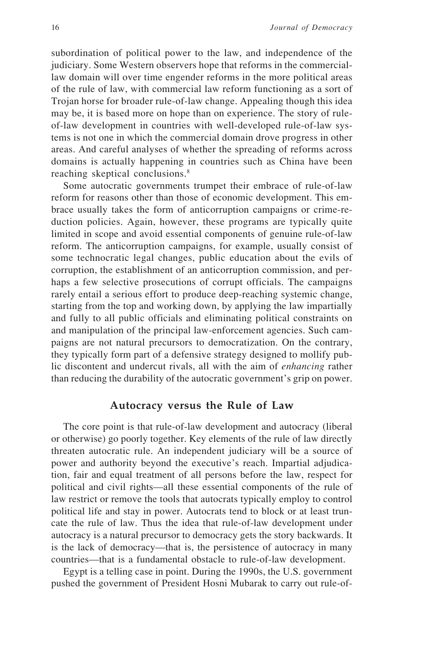subordination of political power to the law, and independence of the judiciary. Some Western observers hope that reforms in the commerciallaw domain will over time engender reforms in the more political areas of the rule of law, with commercial law reform functioning as a sort of Trojan horse for broader rule-of-law change. Appealing though this idea may be, it is based more on hope than on experience. The story of ruleof-law development in countries with well-developed rule-of-law systems is not one in which the commercial domain drove progress in other areas. And careful analyses of whether the spreading of reforms across domains is actually happening in countries such as China have been reaching skeptical conclusions.<sup>8</sup>

Some autocratic governments trumpet their embrace of rule-of-law reform for reasons other than those of economic development. This embrace usually takes the form of anticorruption campaigns or crime-reduction policies. Again, however, these programs are typically quite limited in scope and avoid essential components of genuine rule-of-law reform. The anticorruption campaigns, for example, usually consist of some technocratic legal changes, public education about the evils of corruption, the establishment of an anticorruption commission, and perhaps a few selective prosecutions of corrupt officials. The campaigns rarely entail a serious effort to produce deep-reaching systemic change, starting from the top and working down, by applying the law impartially and fully to all public officials and eliminating political constraints on and manipulation of the principal law-enforcement agencies. Such campaigns are not natural precursors to democratization. On the contrary, they typically form part of a defensive strategy designed to mollify public discontent and undercut rivals, all with the aim of *enhancing* rather than reducing the durability of the autocratic government's grip on power.

## **Autocracy versus the Rule of Law**

The core point is that rule-of-law development and autocracy (liberal or otherwise) go poorly together. Key elements of the rule of law directly threaten autocratic rule. An independent judiciary will be a source of power and authority beyond the executive's reach. Impartial adjudication, fair and equal treatment of all persons before the law, respect for political and civil rights—all these essential components of the rule of law restrict or remove the tools that autocrats typically employ to control political life and stay in power. Autocrats tend to block or at least truncate the rule of law. Thus the idea that rule-of-law development under autocracy is a natural precursor to democracy gets the story backwards. It is the lack of democracy—that is, the persistence of autocracy in many countries—that is a fundamental obstacle to rule-of-law development.

Egypt is a telling case in point. During the 1990s, the U.S. government pushed the government of President Hosni Mubarak to carry out rule-of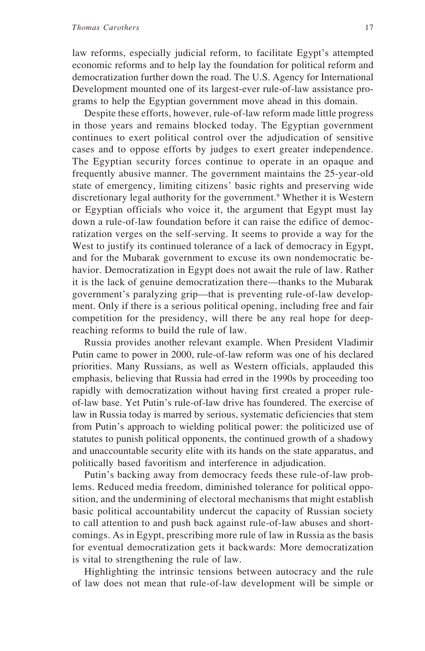law reforms, especially judicial reform, to facilitate Egypt's attempted economic reforms and to help lay the foundation for political reform and democratization further down the road. The U.S. Agency for International Development mounted one of its largest-ever rule-of-law assistance programs to help the Egyptian government move ahead in this domain.

Despite these efforts, however, rule-of-law reform made little progress in those years and remains blocked today. The Egyptian government continues to exert political control over the adjudication of sensitive cases and to oppose efforts by judges to exert greater independence. The Egyptian security forces continue to operate in an opaque and frequently abusive manner. The government maintains the 25-year-old state of emergency, limiting citizens' basic rights and preserving wide discretionary legal authority for the government.<sup>9</sup> Whether it is Western or Egyptian officials who voice it, the argument that Egypt must lay down a rule-of-law foundation before it can raise the edifice of democratization verges on the self-serving. It seems to provide a way for the West to justify its continued tolerance of a lack of democracy in Egypt, and for the Mubarak government to excuse its own nondemocratic behavior. Democratization in Egypt does not await the rule of law. Rather it is the lack of genuine democratization there—thanks to the Mubarak government's paralyzing grip—that is preventing rule-of-law development. Only if there is a serious political opening, including free and fair competition for the presidency, will there be any real hope for deepreaching reforms to build the rule of law.

Russia provides another relevant example. When President Vladimir Putin came to power in 2000, rule-of-law reform was one of his declared priorities. Many Russians, as well as Western officials, applauded this emphasis, believing that Russia had erred in the 1990s by proceeding too rapidly with democratization without having first created a proper ruleof-law base. Yet Putin's rule-of-law drive has foundered. The exercise of law in Russia today is marred by serious, systematic deficiencies that stem from Putin's approach to wielding political power: the politicized use of statutes to punish political opponents, the continued growth of a shadowy and unaccountable security elite with its hands on the state apparatus, and politically based favoritism and interference in adjudication.

Putin's backing away from democracy feeds these rule-of-law problems. Reduced media freedom, diminished tolerance for political opposition, and the undermining of electoral mechanisms that might establish basic political accountability undercut the capacity of Russian society to call attention to and push back against rule-of-law abuses and shortcomings. As in Egypt, prescribing more rule of law in Russia as the basis for eventual democratization gets it backwards: More democratization is vital to strengthening the rule of law.

Highlighting the intrinsic tensions between autocracy and the rule of law does not mean that rule-of-law development will be simple or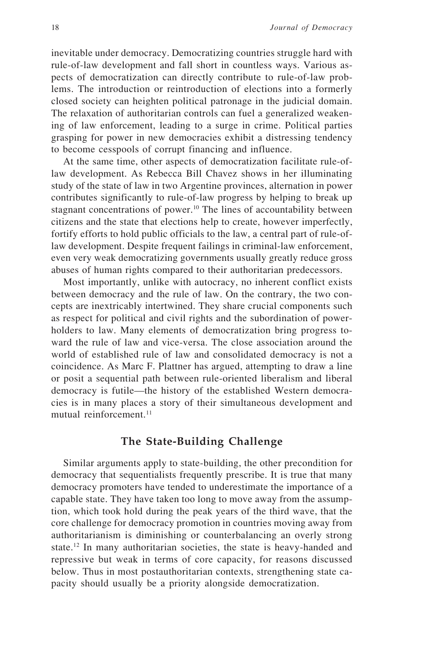inevitable under democracy. Democratizing countries struggle hard with rule-of-law development and fall short in countless ways. Various aspects of democratization can directly contribute to rule-of-law problems. The introduction or reintroduction of elections into a formerly closed society can heighten political patronage in the judicial domain. The relaxation of authoritarian controls can fuel a generalized weakening of law enforcement, leading to a surge in crime. Political parties grasping for power in new democracies exhibit a distressing tendency to become cesspools of corrupt financing and influence.

At the same time, other aspects of democratization facilitate rule-oflaw development. As Rebecca Bill Chavez shows in her illuminating study of the state of law in two Argentine provinces, alternation in power contributes significantly to rule-of-law progress by helping to break up stagnant concentrations of power.<sup>10</sup> The lines of accountability between citizens and the state that elections help to create, however imperfectly, fortify efforts to hold public officials to the law, a central part of rule-oflaw development. Despite frequent failings in criminal-law enforcement, even very weak democratizing governments usually greatly reduce gross abuses of human rights compared to their authoritarian predecessors.

Most importantly, unlike with autocracy, no inherent conflict exists between democracy and the rule of law. On the contrary, the two concepts are inextricably intertwined. They share crucial components such as respect for political and civil rights and the subordination of powerholders to law. Many elements of democratization bring progress toward the rule of law and vice-versa. The close association around the world of established rule of law and consolidated democracy is not a coincidence. As Marc F. Plattner has argued, attempting to draw a line or posit a sequential path between rule-oriented liberalism and liberal democracy is futile—the history of the established Western democracies is in many places a story of their simultaneous development and mutual reinforcement.<sup>11</sup>

#### **The State-Building Challenge**

Similar arguments apply to state-building, the other precondition for democracy that sequentialists frequently prescribe. It is true that many democracy promoters have tended to underestimate the importance of a capable state. They have taken too long to move away from the assumption, which took hold during the peak years of the third wave, that the core challenge for democracy promotion in countries moving away from authoritarianism is diminishing or counterbalancing an overly strong state.12 In many authoritarian societies, the state is heavy-handed and repressive but weak in terms of core capacity, for reasons discussed below. Thus in most postauthoritarian contexts, strengthening state capacity should usually be a priority alongside democratization.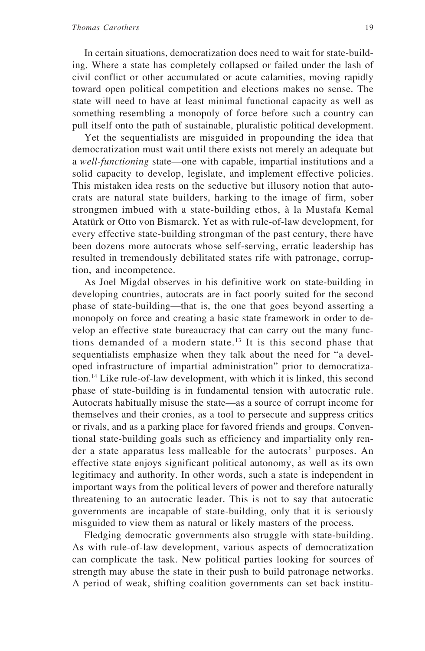In certain situations, democratization does need to wait for state-building. Where a state has completely collapsed or failed under the lash of civil conflict or other accumulated or acute calamities, moving rapidly toward open political competition and elections makes no sense. The state will need to have at least minimal functional capacity as well as something resembling a monopoly of force before such a country can pull itself onto the path of sustainable, pluralistic political development.

Yet the sequentialists are misguided in propounding the idea that democratization must wait until there exists not merely an adequate but a *well-functioning* state—one with capable, impartial institutions and a solid capacity to develop, legislate, and implement effective policies. This mistaken idea rests on the seductive but illusory notion that autocrats are natural state builders, harking to the image of firm, sober strongmen imbued with a state-building ethos, à la Mustafa Kemal Atatürk or Otto von Bismarck. Yet as with rule-of-law development, for every effective state-building strongman of the past century, there have been dozens more autocrats whose self-serving, erratic leadership has resulted in tremendously debilitated states rife with patronage, corruption, and incompetence.

As Joel Migdal observes in his definitive work on state-building in developing countries, autocrats are in fact poorly suited for the second phase of state-building—that is, the one that goes beyond asserting a monopoly on force and creating a basic state framework in order to develop an effective state bureaucracy that can carry out the many functions demanded of a modern state.<sup>13</sup> It is this second phase that sequentialists emphasize when they talk about the need for "a developed infrastructure of impartial administration" prior to democratization.14 Like rule-of-law development, with which it is linked, this second phase of state-building is in fundamental tension with autocratic rule. Autocrats habitually misuse the state—as a source of corrupt income for themselves and their cronies, as a tool to persecute and suppress critics or rivals, and as a parking place for favored friends and groups. Conventional state-building goals such as efficiency and impartiality only render a state apparatus less malleable for the autocrats' purposes. An effective state enjoys significant political autonomy, as well as its own legitimacy and authority. In other words, such a state is independent in important ways from the political levers of power and therefore naturally threatening to an autocratic leader. This is not to say that autocratic governments are incapable of state-building, only that it is seriously misguided to view them as natural or likely masters of the process.

Fledging democratic governments also struggle with state-building. As with rule-of-law development, various aspects of democratization can complicate the task. New political parties looking for sources of strength may abuse the state in their push to build patronage networks. A period of weak, shifting coalition governments can set back institu-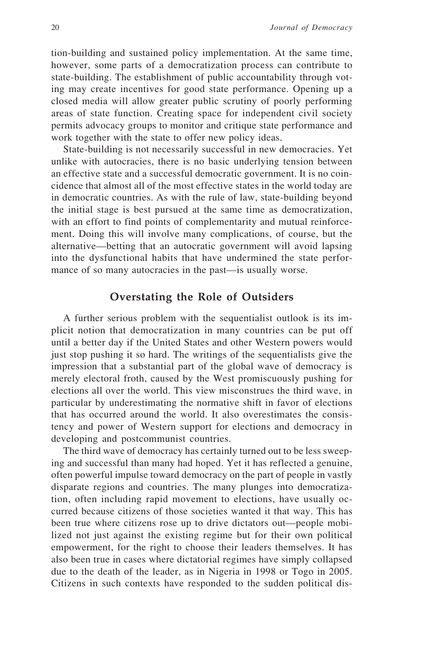tion-building and sustained policy implementation. At the same time, however, some parts of a democratization process can contribute to state-building. The establishment of public accountability through voting may create incentives for good state performance. Opening up a closed media will allow greater public scrutiny of poorly performing areas of state function. Creating space for independent civil society permits advocacy groups to monitor and critique state performance and work together with the state to offer new policy ideas.

State-building is not necessarily successful in new democracies. Yet unlike with autocracies, there is no basic underlying tension between an effective state and a successful democratic government. It is no coincidence that almost all of the most effective states in the world today are in democratic countries. As with the rule of law, state-building beyond the initial stage is best pursued at the same time as democratization, with an effort to find points of complementarity and mutual reinforcement. Doing this will involve many complications, of course, but the alternative—betting that an autocratic government will avoid lapsing into the dysfunctional habits that have undermined the state performance of so many autocracies in the past—is usually worse.

#### **Overstating the Role of Outsiders**

A further serious problem with the sequentialist outlook is its implicit notion that democratization in many countries can be put off until a better day if the United States and other Western powers would just stop pushing it so hard. The writings of the sequentialists give the impression that a substantial part of the global wave of democracy is merely electoral froth, caused by the West promiscuously pushing for elections all over the world. This view misconstrues the third wave, in particular by underestimating the normative shift in favor of elections that has occurred around the world. It also overestimates the consistency and power of Western support for elections and democracy in developing and postcommunist countries.

The third wave of democracy has certainly turned out to be less sweeping and successful than many had hoped. Yet it has reflected a genuine, often powerful impulse toward democracy on the part of people in vastly disparate regions and countries. The many plunges into democratization, often including rapid movement to elections, have usually occurred because citizens of those societies wanted it that way. This has been true where citizens rose up to drive dictators out—people mobilized not just against the existing regime but for their own political empowerment, for the right to choose their leaders themselves. It has also been true in cases where dictatorial regimes have simply collapsed due to the death of the leader, as in Nigeria in 1998 or Togo in 2005. Citizens in such contexts have responded to the sudden political dis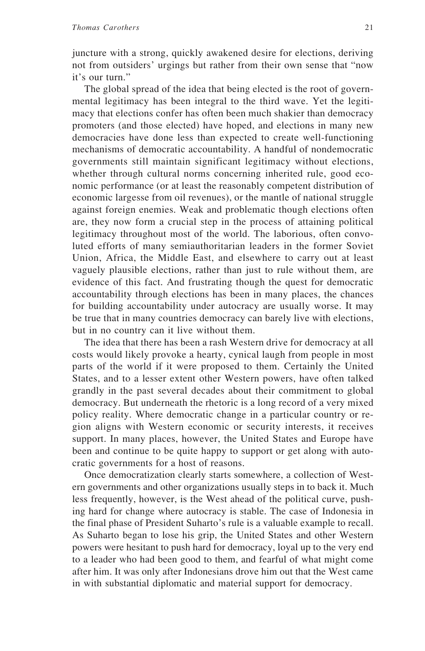juncture with a strong, quickly awakened desire for elections, deriving not from outsiders' urgings but rather from their own sense that "now it's our turn."

The global spread of the idea that being elected is the root of governmental legitimacy has been integral to the third wave. Yet the legitimacy that elections confer has often been much shakier than democracy promoters (and those elected) have hoped, and elections in many new democracies have done less than expected to create well-functioning mechanisms of democratic accountability. A handful of nondemocratic governments still maintain significant legitimacy without elections, whether through cultural norms concerning inherited rule, good economic performance (or at least the reasonably competent distribution of economic largesse from oil revenues), or the mantle of national struggle against foreign enemies. Weak and problematic though elections often are, they now form a crucial step in the process of attaining political legitimacy throughout most of the world. The laborious, often convoluted efforts of many semiauthoritarian leaders in the former Soviet Union, Africa, the Middle East, and elsewhere to carry out at least vaguely plausible elections, rather than just to rule without them, are evidence of this fact. And frustrating though the quest for democratic accountability through elections has been in many places, the chances for building accountability under autocracy are usually worse. It may be true that in many countries democracy can barely live with elections, but in no country can it live without them.

The idea that there has been a rash Western drive for democracy at all costs would likely provoke a hearty, cynical laugh from people in most parts of the world if it were proposed to them. Certainly the United States, and to a lesser extent other Western powers, have often talked grandly in the past several decades about their commitment to global democracy. But underneath the rhetoric is a long record of a very mixed policy reality. Where democratic change in a particular country or region aligns with Western economic or security interests, it receives support. In many places, however, the United States and Europe have been and continue to be quite happy to support or get along with autocratic governments for a host of reasons.

Once democratization clearly starts somewhere, a collection of Western governments and other organizations usually steps in to back it. Much less frequently, however, is the West ahead of the political curve, pushing hard for change where autocracy is stable. The case of Indonesia in the final phase of President Suharto's rule is a valuable example to recall. As Suharto began to lose his grip, the United States and other Western powers were hesitant to push hard for democracy, loyal up to the very end to a leader who had been good to them, and fearful of what might come after him. It was only after Indonesians drove him out that the West came in with substantial diplomatic and material support for democracy.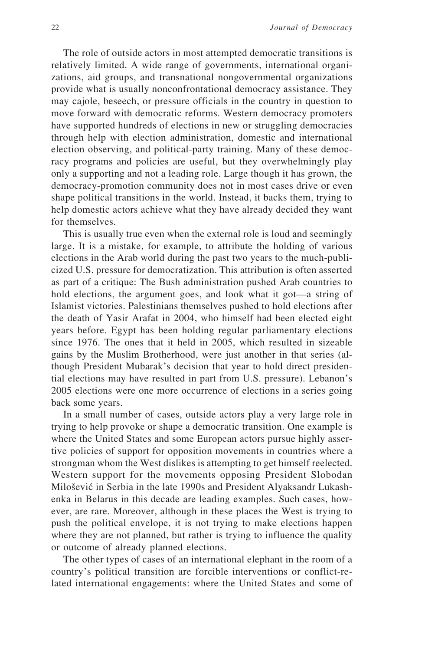The role of outside actors in most attempted democratic transitions is relatively limited. A wide range of governments, international organizations, aid groups, and transnational nongovernmental organizations provide what is usually nonconfrontational democracy assistance. They may cajole, beseech, or pressure officials in the country in question to move forward with democratic reforms. Western democracy promoters have supported hundreds of elections in new or struggling democracies through help with election administration, domestic and international election observing, and political-party training. Many of these democracy programs and policies are useful, but they overwhelmingly play only a supporting and not a leading role. Large though it has grown, the democracy-promotion community does not in most cases drive or even shape political transitions in the world. Instead, it backs them, trying to help domestic actors achieve what they have already decided they want for themselves.

This is usually true even when the external role is loud and seemingly large. It is a mistake, for example, to attribute the holding of various elections in the Arab world during the past two years to the much-publicized U.S. pressure for democratization. This attribution is often asserted as part of a critique: The Bush administration pushed Arab countries to hold elections, the argument goes, and look what it got—a string of Islamist victories. Palestinians themselves pushed to hold elections after the death of Yasir Arafat in 2004, who himself had been elected eight years before. Egypt has been holding regular parliamentary elections since 1976. The ones that it held in 2005, which resulted in sizeable gains by the Muslim Brotherhood, were just another in that series (although President Mubarak's decision that year to hold direct presidential elections may have resulted in part from U.S. pressure). Lebanon's 2005 elections were one more occurrence of elections in a series going back some years.

In a small number of cases, outside actors play a very large role in trying to help provoke or shape a democratic transition. One example is where the United States and some European actors pursue highly assertive policies of support for opposition movements in countries where a strongman whom the West dislikes is attempting to get himself reelected. Western support for the movements opposing President Slobodan Milošević in Serbia in the late 1990s and President Alyaksandr Lukashenka in Belarus in this decade are leading examples. Such cases, however, are rare. Moreover, although in these places the West is trying to push the political envelope, it is not trying to make elections happen where they are not planned, but rather is trying to influence the quality or outcome of already planned elections.

The other types of cases of an international elephant in the room of a country's political transition are forcible interventions or conflict-related international engagements: where the United States and some of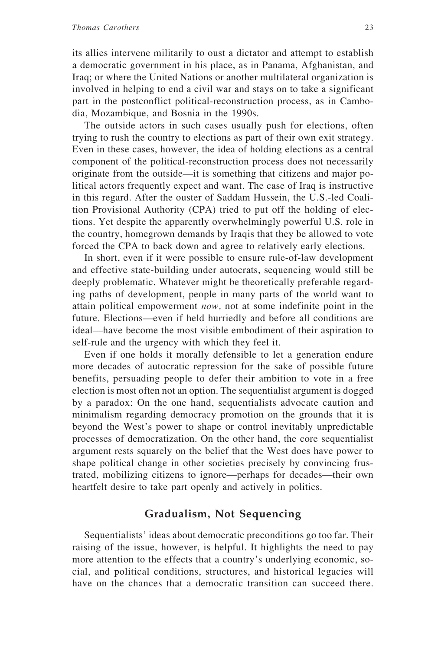#### *Thomas Carothers* 23

its allies intervene militarily to oust a dictator and attempt to establish a democratic government in his place, as in Panama, Afghanistan, and Iraq; or where the United Nations or another multilateral organization is involved in helping to end a civil war and stays on to take a significant part in the postconflict political-reconstruction process, as in Cambodia, Mozambique, and Bosnia in the 1990s.

The outside actors in such cases usually push for elections, often trying to rush the country to elections as part of their own exit strategy. Even in these cases, however, the idea of holding elections as a central component of the political-reconstruction process does not necessarily originate from the outside—it is something that citizens and major political actors frequently expect and want. The case of Iraq is instructive in this regard. After the ouster of Saddam Hussein, the U.S.-led Coalition Provisional Authority (CPA) tried to put off the holding of elections. Yet despite the apparently overwhelmingly powerful U.S. role in the country, homegrown demands by Iraqis that they be allowed to vote forced the CPA to back down and agree to relatively early elections.

In short, even if it were possible to ensure rule-of-law development and effective state-building under autocrats, sequencing would still be deeply problematic. Whatever might be theoretically preferable regarding paths of development, people in many parts of the world want to attain political empowerment *now,* not at some indefinite point in the future. Elections—even if held hurriedly and before all conditions are ideal—have become the most visible embodiment of their aspiration to self-rule and the urgency with which they feel it.

Even if one holds it morally defensible to let a generation endure more decades of autocratic repression for the sake of possible future benefits, persuading people to defer their ambition to vote in a free election is most often not an option. The sequentialist argument is dogged by a paradox: On the one hand, sequentialists advocate caution and minimalism regarding democracy promotion on the grounds that it is beyond the West's power to shape or control inevitably unpredictable processes of democratization. On the other hand, the core sequentialist argument rests squarely on the belief that the West does have power to shape political change in other societies precisely by convincing frustrated, mobilizing citizens to ignore—perhaps for decades—their own heartfelt desire to take part openly and actively in politics.

#### **Gradualism, Not Sequencing**

Sequentialists' ideas about democratic preconditions go too far. Their raising of the issue, however, is helpful. It highlights the need to pay more attention to the effects that a country's underlying economic, social, and political conditions, structures, and historical legacies will have on the chances that a democratic transition can succeed there.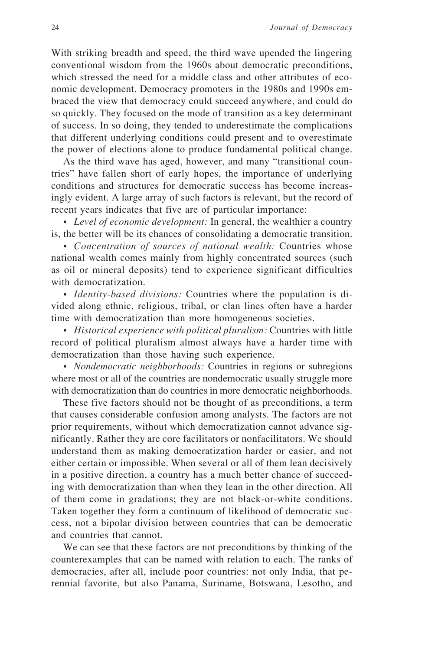With striking breadth and speed, the third wave upended the lingering conventional wisdom from the 1960s about democratic preconditions, which stressed the need for a middle class and other attributes of economic development. Democracy promoters in the 1980s and 1990s embraced the view that democracy could succeed anywhere, and could do so quickly. They focused on the mode of transition as a key determinant of success. In so doing, they tended to underestimate the complications that different underlying conditions could present and to overestimate the power of elections alone to produce fundamental political change.

As the third wave has aged, however, and many "transitional countries" have fallen short of early hopes, the importance of underlying conditions and structures for democratic success has become increasingly evident. A large array of such factors is relevant, but the record of recent years indicates that five are of particular importance:

• *Level of economic development:* In general, the wealthier a country is, the better will be its chances of consolidating a democratic transition.

• *Concentration of sources of national wealth:* Countries whose national wealth comes mainly from highly concentrated sources (such as oil or mineral deposits) tend to experience significant difficulties with democratization.

• *Identity-based divisions:* Countries where the population is divided along ethnic, religious, tribal, or clan lines often have a harder time with democratization than more homogeneous societies.

• *Historical experience with political pluralism:* Countries with little record of political pluralism almost always have a harder time with democratization than those having such experience.

• *Nondemocratic neighborhoods:* Countries in regions or subregions where most or all of the countries are nondemocratic usually struggle more with democratization than do countries in more democratic neighborhoods.

These five factors should not be thought of as preconditions, a term that causes considerable confusion among analysts. The factors are not prior requirements, without which democratization cannot advance significantly. Rather they are core facilitators or nonfacilitators. We should understand them as making democratization harder or easier, and not either certain or impossible. When several or all of them lean decisively in a positive direction, a country has a much better chance of succeeding with democratization than when they lean in the other direction. All of them come in gradations; they are not black-or-white conditions. Taken together they form a continuum of likelihood of democratic success, not a bipolar division between countries that can be democratic and countries that cannot.

We can see that these factors are not preconditions by thinking of the counterexamples that can be named with relation to each. The ranks of democracies, after all, include poor countries: not only India, that perennial favorite, but also Panama, Suriname, Botswana, Lesotho, and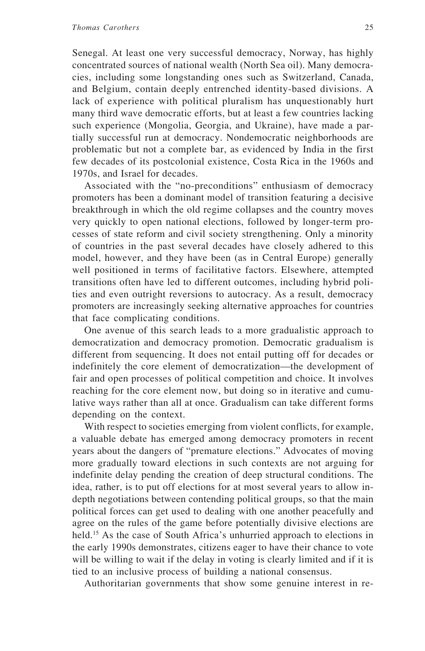#### *Thomas Carothers* 25

Senegal. At least one very successful democracy, Norway, has highly concentrated sources of national wealth (North Sea oil). Many democracies, including some longstanding ones such as Switzerland, Canada, and Belgium, contain deeply entrenched identity-based divisions. A lack of experience with political pluralism has unquestionably hurt many third wave democratic efforts, but at least a few countries lacking such experience (Mongolia, Georgia, and Ukraine), have made a partially successful run at democracy. Nondemocratic neighborhoods are problematic but not a complete bar, as evidenced by India in the first few decades of its postcolonial existence, Costa Rica in the 1960s and 1970s, and Israel for decades.

Associated with the "no-preconditions" enthusiasm of democracy promoters has been a dominant model of transition featuring a decisive breakthrough in which the old regime collapses and the country moves very quickly to open national elections, followed by longer-term processes of state reform and civil society strengthening. Only a minority of countries in the past several decades have closely adhered to this model, however, and they have been (as in Central Europe) generally well positioned in terms of facilitative factors. Elsewhere, attempted transitions often have led to different outcomes, including hybrid polities and even outright reversions to autocracy. As a result, democracy promoters are increasingly seeking alternative approaches for countries that face complicating conditions.

One avenue of this search leads to a more gradualistic approach to democratization and democracy promotion. Democratic gradualism is different from sequencing. It does not entail putting off for decades or indefinitely the core element of democratization—the development of fair and open processes of political competition and choice. It involves reaching for the core element now, but doing so in iterative and cumulative ways rather than all at once. Gradualism can take different forms depending on the context.

With respect to societies emerging from violent conflicts, for example, a valuable debate has emerged among democracy promoters in recent years about the dangers of "premature elections." Advocates of moving more gradually toward elections in such contexts are not arguing for indefinite delay pending the creation of deep structural conditions. The idea, rather, is to put off elections for at most several years to allow indepth negotiations between contending political groups, so that the main political forces can get used to dealing with one another peacefully and agree on the rules of the game before potentially divisive elections are held.<sup>15</sup> As the case of South Africa's unhurried approach to elections in the early 1990s demonstrates, citizens eager to have their chance to vote will be willing to wait if the delay in voting is clearly limited and if it is tied to an inclusive process of building a national consensus.

Authoritarian governments that show some genuine interest in re-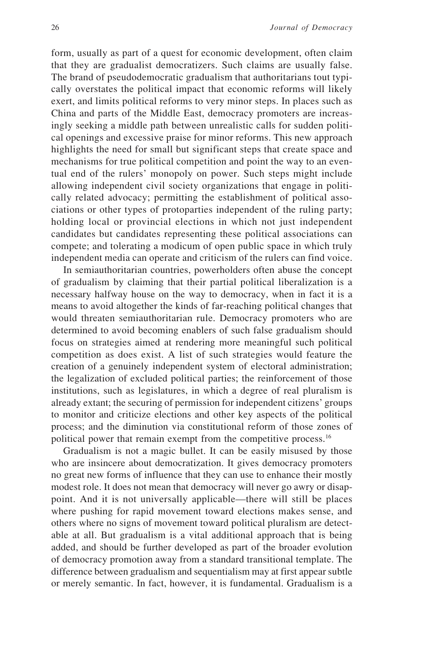form, usually as part of a quest for economic development, often claim that they are gradualist democratizers. Such claims are usually false. The brand of pseudodemocratic gradualism that authoritarians tout typically overstates the political impact that economic reforms will likely exert, and limits political reforms to very minor steps. In places such as China and parts of the Middle East, democracy promoters are increasingly seeking a middle path between unrealistic calls for sudden political openings and excessive praise for minor reforms. This new approach highlights the need for small but significant steps that create space and mechanisms for true political competition and point the way to an eventual end of the rulers' monopoly on power. Such steps might include allowing independent civil society organizations that engage in politically related advocacy; permitting the establishment of political associations or other types of protoparties independent of the ruling party; holding local or provincial elections in which not just independent candidates but candidates representing these political associations can compete; and tolerating a modicum of open public space in which truly independent media can operate and criticism of the rulers can find voice.

In semiauthoritarian countries, powerholders often abuse the concept of gradualism by claiming that their partial political liberalization is a necessary halfway house on the way to democracy, when in fact it is a means to avoid altogether the kinds of far-reaching political changes that would threaten semiauthoritarian rule. Democracy promoters who are determined to avoid becoming enablers of such false gradualism should focus on strategies aimed at rendering more meaningful such political competition as does exist. A list of such strategies would feature the creation of a genuinely independent system of electoral administration; the legalization of excluded political parties; the reinforcement of those institutions, such as legislatures, in which a degree of real pluralism is already extant; the securing of permission for independent citizens' groups to monitor and criticize elections and other key aspects of the political process; and the diminution via constitutional reform of those zones of political power that remain exempt from the competitive process.<sup>16</sup>

Gradualism is not a magic bullet. It can be easily misused by those who are insincere about democratization. It gives democracy promoters no great new forms of influence that they can use to enhance their mostly modest role. It does not mean that democracy will never go awry or disappoint. And it is not universally applicable—there will still be places where pushing for rapid movement toward elections makes sense, and others where no signs of movement toward political pluralism are detectable at all. But gradualism is a vital additional approach that is being added, and should be further developed as part of the broader evolution of democracy promotion away from a standard transitional template. The difference between gradualism and sequentialism may at first appear subtle or merely semantic. In fact, however, it is fundamental. Gradualism is a